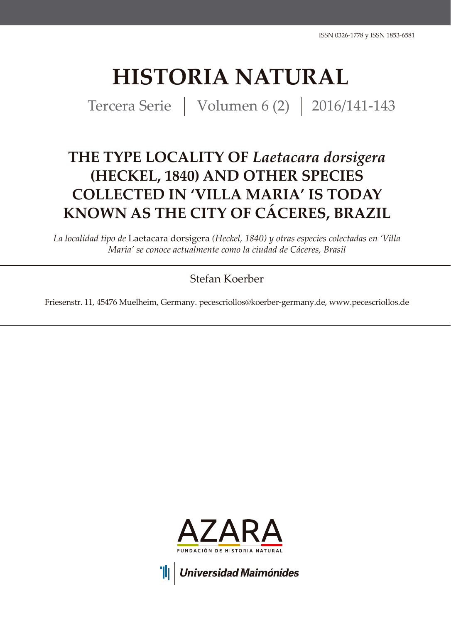# **HISTORIA NATURAL**

Tercera Serie | Volumen 6 (2) | 2016/141-143

## **THE TYPE LOCALITY OF** *Laetacara dorsigera* **(HECKEL, 1840) AND OTHER SPECIES COLLECTED IN 'VILLA MARIA' IS TODAY KNOWN AS THE CITY OF CÁCERES, BRAZIL**

*La localidad tipo de* Laetacara dorsigera *(Heckel, 1840) y otras especies colectadas en 'Villa María' se conoce actualmente como la ciudad de Cáceres, Brasil*

## Stefan Koerber

Friesenstr. 11, 45476 Muelheim, Germany. pecescriollos@koerber-germany.de, www.pecescriollos.de



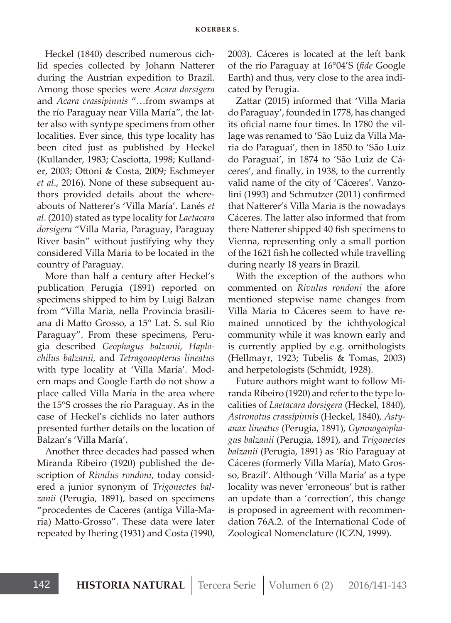Heckel (1840) described numerous cichlid species collected by Johann Natterer during the Austrian expedition to Brazil. Among those species were *Acara dorsigera* and *Acara crassipinnis* "…from swamps at the río Paraguay near Villa María", the latter also with syntype specimens from other localities. Ever since, this type locality has been cited just as published by Heckel (Kullander, 1983; Casciotta, 1998; Kullander, 2003; Ottoni & Costa, 2009; Eschmeyer *et al*., 2016). None of these subsequent authors provided details about the whereabouts of Natterer's 'Villa María'. Lanés *et al*. (2010) stated as type locality for *Laetacara dorsigera* "Villa Maria, Paraguay, Paraguay River basin" without justifying why they considered Villa Maria to be located in the country of Paraguay.

More than half a century after Heckel's publication Perugia (1891) reported on specimens shipped to him by Luigi Balzan from "Villa Maria, nella Provincia brasiliana di Matto Grosso, a 15° Lat. S. sul Rio Paraguay". From these specimens, Perugia described *Geophagus balzanii*, *Haplochilus balzanii*, and *Tetragonopterus lineatus* with type locality at 'Villa María'. Modern maps and Google Earth do not show a place called Villa María in the area where the 15°S crosses the río Paraguay. As in the case of Heckel's cichlids no later authors presented further details on the location of Balzan's 'Villa María'.

Another three decades had passed when Miranda Ribeiro (1920) published the description of *Rivulus rondoni*, today considered a junior synonym of *Trigonectes balzanii* (Perugia, 1891), based on specimens "procedentes de Caceres (antiga Villa-Maria) Matto-Grosso". These data were later repeated by Ihering (1931) and Costa (1990, 2003). Cáceres is located at the left bank of the río Paraguay at 16°04'S (*fide* Google Earth) and thus, very close to the area indicated by Perugia.

Zattar (2015) informed that 'Villa Maria do Paraguay', founded in 1778, has changed its oficial name four times. In 1780 the village was renamed to 'São Luiz da Villa Maria do Paraguai', then in 1850 to 'São Luiz do Paraguai', in 1874 to 'São Luiz de Cáceres', and finally, in 1938, to the currently valid name of the city of 'Cáceres'. Vanzolini (1993) and Schmutzer (2011) confirmed that Natterer's Villa Maria is the nowadays Cáceres. The latter also informed that from there Natterer shipped 40 fish specimens to Vienna, representing only a small portion of the 1621 fish he collected while travelling during nearly 18 years in Brazil.

With the exception of the authors who commented on *Rivulus rondoni* the afore mentioned stepwise name changes from Villa Maria to Cáceres seem to have remained unnoticed by the ichthyological community while it was known early and is currently applied by e.g. ornithologists (Hellmayr, 1923; Tubelis & Tomas, 2003) and herpetologists (Schmidt, 1928).

Future authors might want to follow Miranda Ribeiro (1920) and refer to the type localities of *Laetacara dorsigera* (Heckel, 1840), *Astronotus crassipinnis* (Heckel, 1840), *Astyanax lineatus* (Perugia, 1891), *Gymnogeophagus balzanii* (Perugia, 1891), and *Trigonectes balzanii* (Perugia, 1891) as 'Río Paraguay at Cáceres (formerly Villa María), Mato Grosso, Brazil'. Although 'Villa María' as a type locality was never 'erroneous' but is rather an update than a 'correction', this change is proposed in agreement with recommendation 76A.2. of the International Code of Zoological Nomenclature (ICZN, 1999).